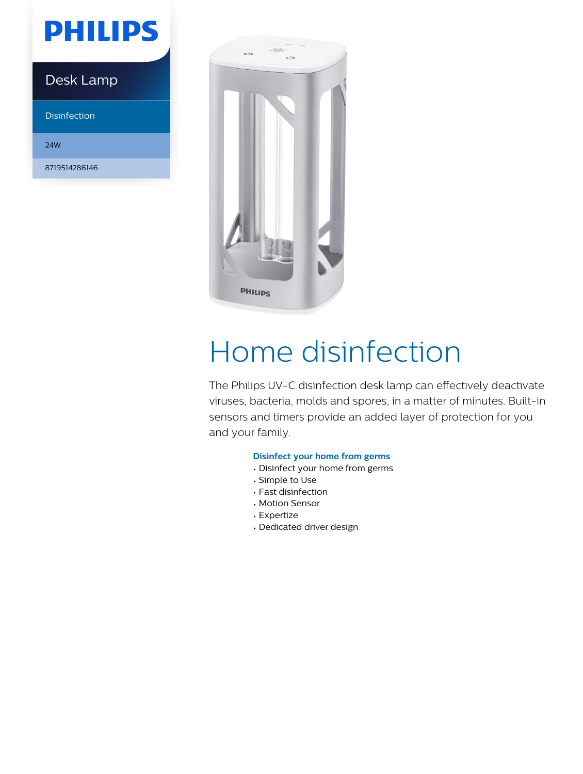# **PHILIPS**

### Desk Lamp

Disinfection

24W

8719514286146



# Home disinfection

The Philips UV-C disinfection desk lamp can effectively deactivate viruses, bacteria, molds and spores, in a matter of minutes. Built-in sensors and timers provide an added layer of protection for you and your family.

#### **Disinfect your home from germs**

- Disinfect your home from germs
- Simple to Use
- Fast disinfection
- Motion Sensor
- Expertize
- Dedicated driver design